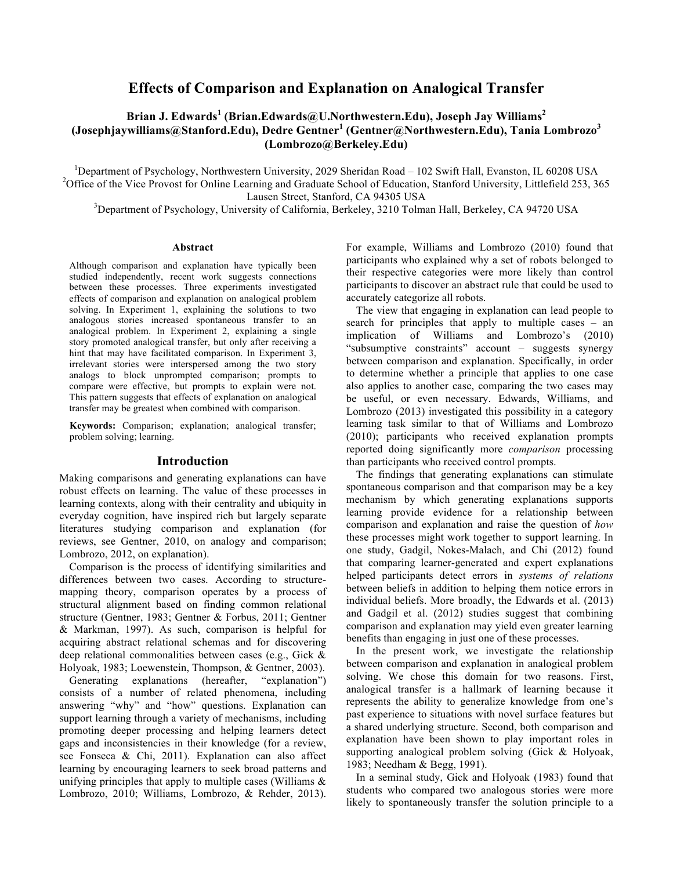# **Effects of Comparison and Explanation on Analogical Transfer**

# **Brian J. Edwards<sup>1</sup> (Brian.Edwards@U.Northwestern.Edu), Joseph Jay Williams<sup>2</sup> (Josephjaywilliams@Stanford.Edu), Dedre Gentner<sup>1</sup> (Gentner@Northwestern.Edu), Tania Lombrozo<sup>3</sup> (Lombrozo@Berkeley.Edu)**

<sup>1</sup>Department of Psychology, Northwestern University, 2029 Sheridan Road – 102 Swift Hall, Evanston, IL 60208 USA<br><sup>2</sup>Office of the Vice Provest for Online Legming and Creducto School of Education, Stanford University, Litt <sup>2</sup>Office of the Vice Provost for Online Learning and Graduate School of Education, Stanford University, Littlefield 253, 365

Lausen Street, Stanford, CA 94305 USA<br><sup>3</sup>Department of Psychology, University of California, Berkeley, 3210 Tolman Hall, Berkeley, CA 94720 USA

#### **Abstract**

Although comparison and explanation have typically been studied independently, recent work suggests connections between these processes. Three experiments investigated effects of comparison and explanation on analogical problem solving. In Experiment 1, explaining the solutions to two analogous stories increased spontaneous transfer to an analogical problem. In Experiment 2, explaining a single story promoted analogical transfer, but only after receiving a hint that may have facilitated comparison. In Experiment 3, irrelevant stories were interspersed among the two story analogs to block unprompted comparison; prompts to compare were effective, but prompts to explain were not. This pattern suggests that effects of explanation on analogical transfer may be greatest when combined with comparison.

**Keywords:** Comparison; explanation; analogical transfer; problem solving; learning.

## **Introduction**

Making comparisons and generating explanations can have robust effects on learning. The value of these processes in learning contexts, along with their centrality and ubiquity in everyday cognition, have inspired rich but largely separate literatures studying comparison and explanation (for reviews, see Gentner, 2010, on analogy and comparison; Lombrozo, 2012, on explanation).

Comparison is the process of identifying similarities and differences between two cases. According to structuremapping theory, comparison operates by a process of structural alignment based on finding common relational structure (Gentner, 1983; Gentner & Forbus, 2011; Gentner & Markman, 1997). As such, comparison is helpful for acquiring abstract relational schemas and for discovering deep relational commonalities between cases (e.g., Gick & Holyoak, 1983; Loewenstein, Thompson, & Gentner, 2003).

Generating explanations (hereafter, "explanation") consists of a number of related phenomena, including answering "why" and "how" questions. Explanation can support learning through a variety of mechanisms, including promoting deeper processing and helping learners detect gaps and inconsistencies in their knowledge (for a review, see Fonseca & Chi, 2011). Explanation can also affect learning by encouraging learners to seek broad patterns and unifying principles that apply to multiple cases (Williams & Lombrozo, 2010; Williams, Lombrozo, & Rehder, 2013). For example, Williams and Lombrozo (2010) found that participants who explained why a set of robots belonged to their respective categories were more likely than control participants to discover an abstract rule that could be used to accurately categorize all robots.

The view that engaging in explanation can lead people to search for principles that apply to multiple cases – an implication of Williams and Lombrozo's (2010) "subsumptive constraints" account – suggests synergy between comparison and explanation. Specifically, in order to determine whether a principle that applies to one case also applies to another case, comparing the two cases may be useful, or even necessary. Edwards, Williams, and Lombrozo (2013) investigated this possibility in a category learning task similar to that of Williams and Lombrozo (2010); participants who received explanation prompts reported doing significantly more *comparison* processing than participants who received control prompts.

The findings that generating explanations can stimulate spontaneous comparison and that comparison may be a key mechanism by which generating explanations supports learning provide evidence for a relationship between comparison and explanation and raise the question of *how* these processes might work together to support learning. In one study, Gadgil, Nokes-Malach, and Chi (2012) found that comparing learner-generated and expert explanations helped participants detect errors in *systems of relations* between beliefs in addition to helping them notice errors in individual beliefs. More broadly, the Edwards et al. (2013) and Gadgil et al. (2012) studies suggest that combining comparison and explanation may yield even greater learning benefits than engaging in just one of these processes.

In the present work, we investigate the relationship between comparison and explanation in analogical problem solving. We chose this domain for two reasons. First, analogical transfer is a hallmark of learning because it represents the ability to generalize knowledge from one's past experience to situations with novel surface features but a shared underlying structure. Second, both comparison and explanation have been shown to play important roles in supporting analogical problem solving (Gick & Holyoak, 1983; Needham & Begg, 1991).

In a seminal study, Gick and Holyoak (1983) found that students who compared two analogous stories were more likely to spontaneously transfer the solution principle to a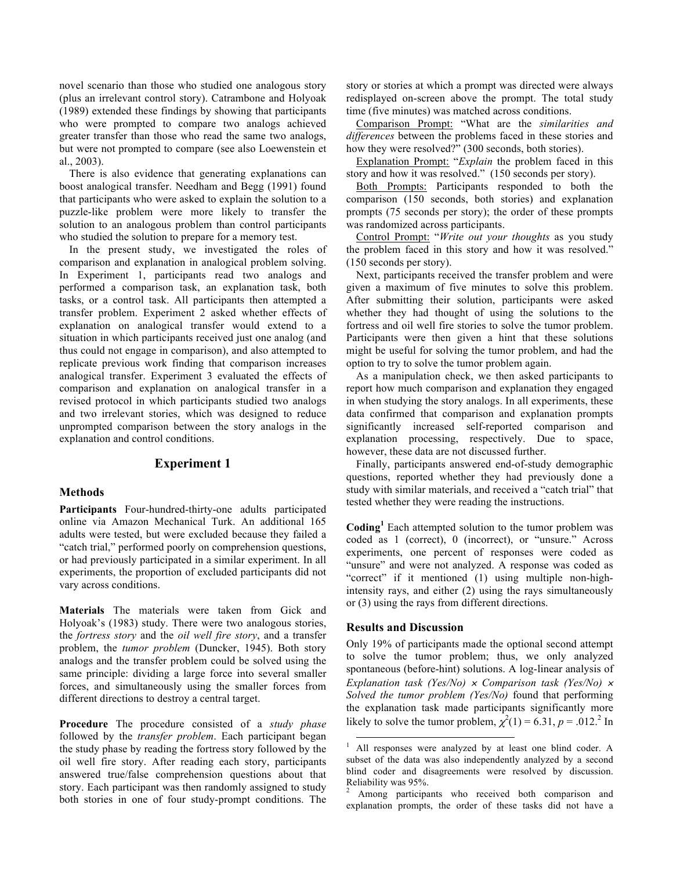novel scenario than those who studied one analogous story (plus an irrelevant control story). Catrambone and Holyoak (1989) extended these findings by showing that participants who were prompted to compare two analogs achieved greater transfer than those who read the same two analogs, but were not prompted to compare (see also Loewenstein et al., 2003).

There is also evidence that generating explanations can boost analogical transfer. Needham and Begg (1991) found that participants who were asked to explain the solution to a puzzle-like problem were more likely to transfer the solution to an analogous problem than control participants who studied the solution to prepare for a memory test.

In the present study, we investigated the roles of comparison and explanation in analogical problem solving. In Experiment 1, participants read two analogs and performed a comparison task, an explanation task, both tasks, or a control task. All participants then attempted a transfer problem. Experiment 2 asked whether effects of explanation on analogical transfer would extend to a situation in which participants received just one analog (and thus could not engage in comparison), and also attempted to replicate previous work finding that comparison increases analogical transfer. Experiment 3 evaluated the effects of comparison and explanation on analogical transfer in a revised protocol in which participants studied two analogs and two irrelevant stories, which was designed to reduce unprompted comparison between the story analogs in the explanation and control conditions.

## **Experiment 1**

#### **Methods**

**Participants** Four-hundred-thirty-one adults participated online via Amazon Mechanical Turk. An additional 165 adults were tested, but were excluded because they failed a "catch trial," performed poorly on comprehension questions, or had previously participated in a similar experiment. In all experiments, the proportion of excluded participants did not vary across conditions.

**Materials** The materials were taken from Gick and Holyoak's (1983) study. There were two analogous stories, the *fortress story* and the *oil well fire story*, and a transfer problem, the *tumor problem* (Duncker, 1945). Both story analogs and the transfer problem could be solved using the same principle: dividing a large force into several smaller forces, and simultaneously using the smaller forces from different directions to destroy a central target.

**Procedure** The procedure consisted of a *study phase* followed by the *transfer problem*. Each participant began the study phase by reading the fortress story followed by the oil well fire story. After reading each story, participants answered true/false comprehension questions about that story. Each participant was then randomly assigned to study both stories in one of four study-prompt conditions. The story or stories at which a prompt was directed were always redisplayed on-screen above the prompt. The total study time (five minutes) was matched across conditions.

Comparison Prompt: "What are the *similarities and differences* between the problems faced in these stories and how they were resolved?" (300 seconds, both stories).

Explanation Prompt: "*Explain* the problem faced in this story and how it was resolved." (150 seconds per story).

Both Prompts: Participants responded to both the comparison (150 seconds, both stories) and explanation prompts (75 seconds per story); the order of these prompts was randomized across participants.

Control Prompt: "*Write out your thoughts* as you study the problem faced in this story and how it was resolved." (150 seconds per story).

Next, participants received the transfer problem and were given a maximum of five minutes to solve this problem. After submitting their solution, participants were asked whether they had thought of using the solutions to the fortress and oil well fire stories to solve the tumor problem. Participants were then given a hint that these solutions might be useful for solving the tumor problem, and had the option to try to solve the tumor problem again.

As a manipulation check, we then asked participants to report how much comparison and explanation they engaged in when studying the story analogs. In all experiments, these data confirmed that comparison and explanation prompts significantly increased self-reported comparison and explanation processing, respectively. Due to space, however, these data are not discussed further.

Finally, participants answered end-of-study demographic questions, reported whether they had previously done a study with similar materials, and received a "catch trial" that tested whether they were reading the instructions.

**Coding<sup>1</sup>** Each attempted solution to the tumor problem was coded as 1 (correct), 0 (incorrect), or "unsure." Across experiments, one percent of responses were coded as "unsure" and were not analyzed. A response was coded as "correct" if it mentioned (1) using multiple non-highintensity rays, and either (2) using the rays simultaneously or (3) using the rays from different directions.

## **Results and Discussion**

Only 19% of participants made the optional second attempt to solve the tumor problem; thus, we only analyzed spontaneous (before-hint) solutions. A log-linear analysis of *Explanation task (Yes/No)* <sup>×</sup> *Comparison task (Yes/No)* <sup>×</sup> *Solved the tumor problem (Yes/No)* found that performing the explanation task made participants significantly more likely to solve the tumor problem,  $\chi^2(1) = 6.31$ ,  $p = .012$ .<sup>2</sup> In

 <sup>1</sup> All responses were analyzed by at least one blind coder. A subset of the data was also independently analyzed by a second blind coder and disagreements were resolved by discussion. Reliability was 95%.

Among participants who received both comparison and explanation prompts, the order of these tasks did not have a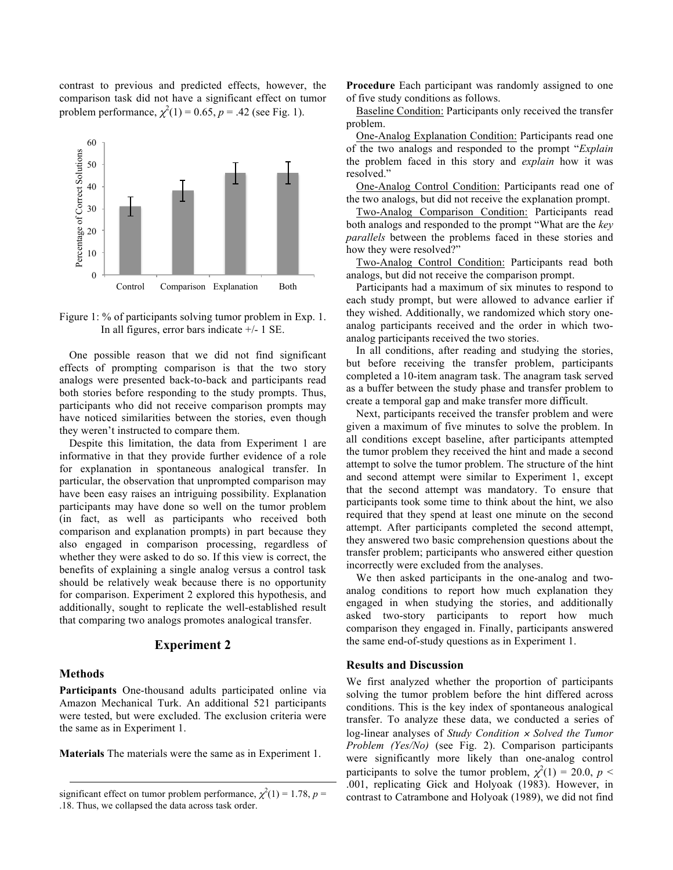contrast to previous and predicted effects, however, the comparison task did not have a significant effect on tumor problem performance,  $\chi^2(1) = 0.65$ ,  $p = .42$  (see Fig. 1).



Figure 1: % of participants solving tumor problem in Exp. 1. In all figures, error bars indicate +/- 1 SE.

One possible reason that we did not find significant effects of prompting comparison is that the two story analogs were presented back-to-back and participants read both stories before responding to the study prompts. Thus, participants who did not receive comparison prompts may have noticed similarities between the stories, even though they weren't instructed to compare them.

Despite this limitation, the data from Experiment 1 are informative in that they provide further evidence of a role for explanation in spontaneous analogical transfer. In particular, the observation that unprompted comparison may have been easy raises an intriguing possibility. Explanation participants may have done so well on the tumor problem (in fact, as well as participants who received both comparison and explanation prompts) in part because they also engaged in comparison processing, regardless of whether they were asked to do so. If this view is correct, the benefits of explaining a single analog versus a control task should be relatively weak because there is no opportunity for comparison. Experiment 2 explored this hypothesis, and additionally, sought to replicate the well-established result that comparing two analogs promotes analogical transfer.

### **Experiment 2**

#### **Methods**

 $\overline{a}$ 

**Participants** One-thousand adults participated online via Amazon Mechanical Turk. An additional 521 participants were tested, but were excluded. The exclusion criteria were the same as in Experiment 1.

**Materials** The materials were the same as in Experiment 1.

**Procedure** Each participant was randomly assigned to one of five study conditions as follows.

Baseline Condition: Participants only received the transfer problem.

One-Analog Explanation Condition: Participants read one of the two analogs and responded to the prompt "*Explain* the problem faced in this story and *explain* how it was resolved."

One-Analog Control Condition: Participants read one of the two analogs, but did not receive the explanation prompt.

Two-Analog Comparison Condition: Participants read both analogs and responded to the prompt "What are the *key parallels* between the problems faced in these stories and how they were resolved?"

Two-Analog Control Condition: Participants read both analogs, but did not receive the comparison prompt.

Participants had a maximum of six minutes to respond to each study prompt, but were allowed to advance earlier if they wished. Additionally, we randomized which story oneanalog participants received and the order in which twoanalog participants received the two stories.

In all conditions, after reading and studying the stories, but before receiving the transfer problem, participants completed a 10-item anagram task. The anagram task served as a buffer between the study phase and transfer problem to create a temporal gap and make transfer more difficult.

Next, participants received the transfer problem and were given a maximum of five minutes to solve the problem. In all conditions except baseline, after participants attempted the tumor problem they received the hint and made a second attempt to solve the tumor problem. The structure of the hint and second attempt were similar to Experiment 1, except that the second attempt was mandatory. To ensure that participants took some time to think about the hint, we also required that they spend at least one minute on the second attempt. After participants completed the second attempt, they answered two basic comprehension questions about the transfer problem; participants who answered either question incorrectly were excluded from the analyses.

We then asked participants in the one-analog and twoanalog conditions to report how much explanation they engaged in when studying the stories, and additionally asked two-story participants to report how much comparison they engaged in. Finally, participants answered the same end-of-study questions as in Experiment 1.

## **Results and Discussion**

We first analyzed whether the proportion of participants solving the tumor problem before the hint differed across conditions. This is the key index of spontaneous analogical transfer. To analyze these data, we conducted a series of log-linear analyses of *Study Condition* <sup>×</sup> *Solved the Tumor Problem (Yes/No)* (see Fig. 2). Comparison participants were significantly more likely than one-analog control participants to solve the tumor problem,  $\chi^2(1) = 20.0, p <$ .001, replicating Gick and Holyoak (1983). However, in contrast to Catrambone and Holyoak (1989), we did not find

significant effect on tumor problem performance,  $\chi^2(1) = 1.78$ ,  $p =$ .18. Thus, we collapsed the data across task order.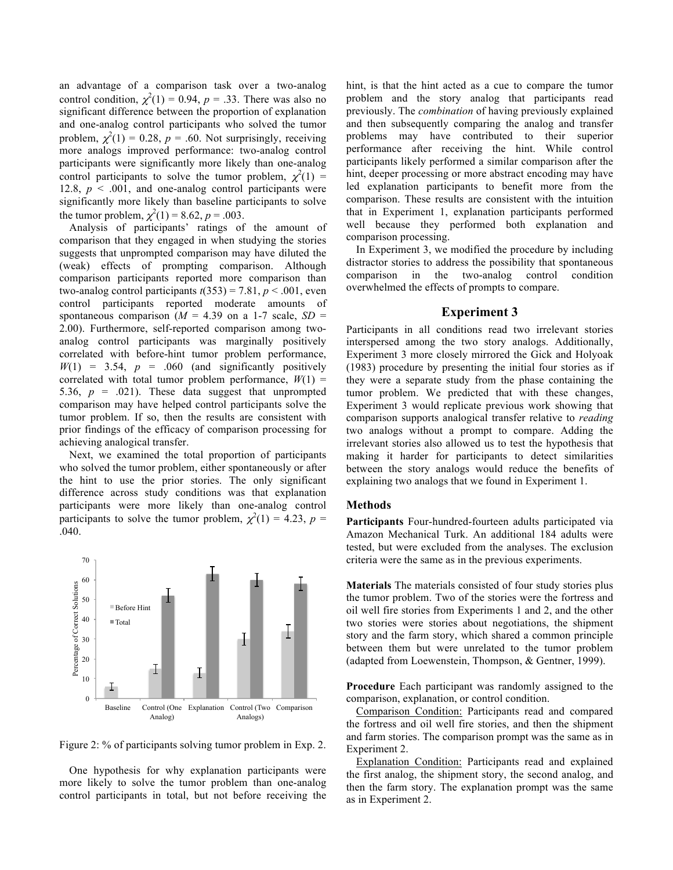an advantage of a comparison task over a two-analog control condition,  $\chi^2(1) = 0.94$ ,  $p = .33$ . There was also no significant difference between the proportion of explanation and one-analog control participants who solved the tumor problem,  $\chi^2(1) = 0.28$ ,  $p = .60$ . Not surprisingly, receiving more analogs improved performance: two-analog control participants were significantly more likely than one-analog control participants to solve the tumor problem,  $\chi^2(1) =$ 12.8,  $p < .001$ , and one-analog control participants were significantly more likely than baseline participants to solve the tumor problem,  $\chi^2(1) = 8.62$ ,  $p = .003$ .

Analysis of participants' ratings of the amount of comparison that they engaged in when studying the stories suggests that unprompted comparison may have diluted the (weak) effects of prompting comparison. Although comparison participants reported more comparison than two-analog control participants  $t(353) = 7.81$ ,  $p < .001$ , even control participants reported moderate amounts of spontaneous comparison ( $M = 4.39$  on a 1-7 scale,  $SD =$ 2.00). Furthermore, self-reported comparison among twoanalog control participants was marginally positively correlated with before-hint tumor problem performance,  $W(1) = 3.54$ ,  $p = .060$  (and significantly positively correlated with total tumor problem performance,  $W(1) =$ 5.36,  $p = .021$ ). These data suggest that unprompted comparison may have helped control participants solve the tumor problem. If so, then the results are consistent with prior findings of the efficacy of comparison processing for achieving analogical transfer.

Next, we examined the total proportion of participants who solved the tumor problem, either spontaneously or after the hint to use the prior stories. The only significant difference across study conditions was that explanation participants were more likely than one-analog control participants to solve the tumor problem,  $\chi^2(1) = 4.23$ ,  $p =$ .040.



Figure 2: % of participants solving tumor problem in Exp. 2.

One hypothesis for why explanation participants were more likely to solve the tumor problem than one-analog control participants in total, but not before receiving the hint, is that the hint acted as a cue to compare the tumor problem and the story analog that participants read previously. The *combination* of having previously explained and then subsequently comparing the analog and transfer problems may have contributed to their superior performance after receiving the hint. While control participants likely performed a similar comparison after the hint, deeper processing or more abstract encoding may have led explanation participants to benefit more from the comparison. These results are consistent with the intuition that in Experiment 1, explanation participants performed well because they performed both explanation and comparison processing.

In Experiment 3, we modified the procedure by including distractor stories to address the possibility that spontaneous comparison in the two-analog control condition overwhelmed the effects of prompts to compare.

## **Experiment 3**

Participants in all conditions read two irrelevant stories interspersed among the two story analogs. Additionally, Experiment 3 more closely mirrored the Gick and Holyoak (1983) procedure by presenting the initial four stories as if they were a separate study from the phase containing the tumor problem. We predicted that with these changes, Experiment 3 would replicate previous work showing that comparison supports analogical transfer relative to *reading* two analogs without a prompt to compare. Adding the irrelevant stories also allowed us to test the hypothesis that making it harder for participants to detect similarities between the story analogs would reduce the benefits of explaining two analogs that we found in Experiment 1.

#### **Methods**

**Participants** Four-hundred-fourteen adults participated via Amazon Mechanical Turk. An additional 184 adults were tested, but were excluded from the analyses. The exclusion criteria were the same as in the previous experiments.

**Materials** The materials consisted of four study stories plus the tumor problem. Two of the stories were the fortress and oil well fire stories from Experiments 1 and 2, and the other two stories were stories about negotiations, the shipment story and the farm story, which shared a common principle between them but were unrelated to the tumor problem (adapted from Loewenstein, Thompson, & Gentner, 1999).

**Procedure** Each participant was randomly assigned to the comparison, explanation, or control condition.

Comparison Condition: Participants read and compared the fortress and oil well fire stories, and then the shipment and farm stories. The comparison prompt was the same as in Experiment 2.

Explanation Condition: Participants read and explained the first analog, the shipment story, the second analog, and then the farm story. The explanation prompt was the same as in Experiment 2.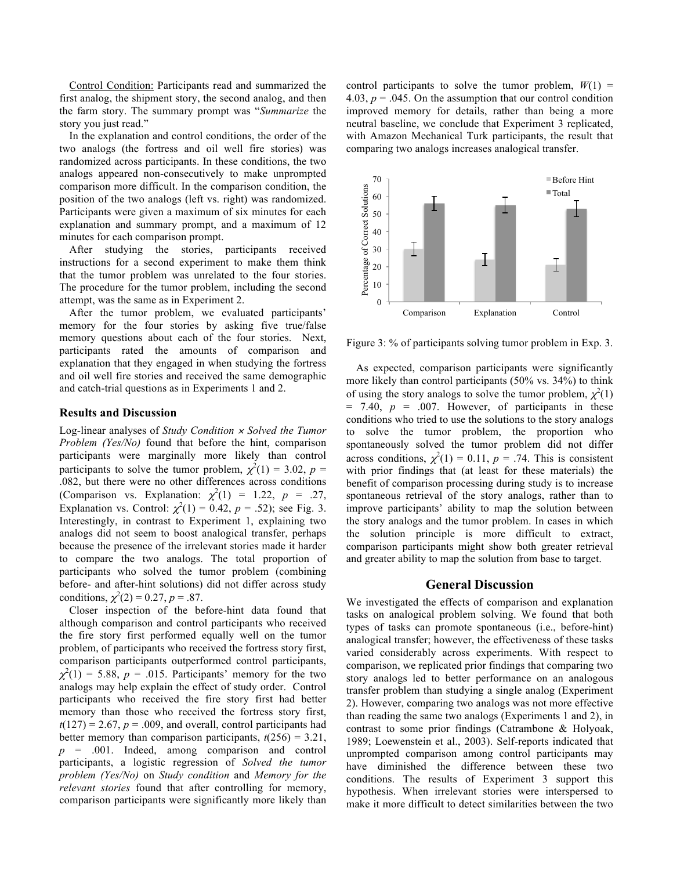Control Condition: Participants read and summarized the first analog, the shipment story, the second analog, and then the farm story. The summary prompt was "*Summarize* the story you just read."

In the explanation and control conditions, the order of the two analogs (the fortress and oil well fire stories) was randomized across participants. In these conditions, the two analogs appeared non-consecutively to make unprompted comparison more difficult. In the comparison condition, the position of the two analogs (left vs. right) was randomized. Participants were given a maximum of six minutes for each explanation and summary prompt, and a maximum of 12 minutes for each comparison prompt.

After studying the stories, participants received instructions for a second experiment to make them think that the tumor problem was unrelated to the four stories. The procedure for the tumor problem, including the second attempt, was the same as in Experiment 2.

After the tumor problem, we evaluated participants' memory for the four stories by asking five true/false memory questions about each of the four stories. Next, participants rated the amounts of comparison and explanation that they engaged in when studying the fortress and oil well fire stories and received the same demographic and catch-trial questions as in Experiments 1 and 2.

#### **Results and Discussion**

Log-linear analyses of *Study Condition* <sup>×</sup> *Solved the Tumor Problem (Yes/No)* found that before the hint, comparison participants were marginally more likely than control participants to solve the tumor problem,  $\chi^2(1) = 3.02$ ,  $p =$ .082, but there were no other differences across conditions (Comparison vs. Explanation:  $\chi^2(1) = 1.22$ ,  $p = .27$ , Explanation vs. Control:  $\chi^2(1) = 0.42$ ,  $p = .52$ ); see Fig. 3. Interestingly, in contrast to Experiment 1, explaining two analogs did not seem to boost analogical transfer, perhaps because the presence of the irrelevant stories made it harder to compare the two analogs. The total proportion of participants who solved the tumor problem (combining before- and after-hint solutions) did not differ across study conditions,  $\chi^2(2) = 0.27$ ,  $p = .87$ .

Closer inspection of the before-hint data found that although comparison and control participants who received the fire story first performed equally well on the tumor problem, of participants who received the fortress story first, comparison participants outperformed control participants,  $\chi^2(1) = 5.88$ ,  $p = .015$ . Participants' memory for the two analogs may help explain the effect of study order. Control participants who received the fire story first had better memory than those who received the fortress story first,  $t(127) = 2.67$ ,  $p = .009$ , and overall, control participants had better memory than comparison participants,  $t(256) = 3.21$ , *p* = .001. Indeed, among comparison and control participants, a logistic regression of *Solved the tumor problem (Yes/No)* on *Study condition* and *Memory for the relevant stories* found that after controlling for memory, comparison participants were significantly more likely than

control participants to solve the tumor problem,  $W(1)$  = 4.03,  $p = 0.045$ . On the assumption that our control condition improved memory for details, rather than being a more neutral baseline, we conclude that Experiment 3 replicated, with Amazon Mechanical Turk participants, the result that comparing two analogs increases analogical transfer.



Figure 3: % of participants solving tumor problem in Exp. 3.

As expected, comparison participants were significantly more likely than control participants (50% vs. 34%) to think of using the story analogs to solve the tumor problem,  $\chi^2(1)$  $= 7.40, p = .007$ . However, of participants in these conditions who tried to use the solutions to the story analogs to solve the tumor problem, the proportion who spontaneously solved the tumor problem did not differ across conditions,  $\chi^2(1) = 0.11$ ,  $p = .74$ . This is consistent with prior findings that (at least for these materials) the benefit of comparison processing during study is to increase spontaneous retrieval of the story analogs, rather than to improve participants' ability to map the solution between the story analogs and the tumor problem. In cases in which the solution principle is more difficult to extract, comparison participants might show both greater retrieval and greater ability to map the solution from base to target.

#### **General Discussion**

We investigated the effects of comparison and explanation tasks on analogical problem solving. We found that both types of tasks can promote spontaneous (i.e., before-hint) analogical transfer; however, the effectiveness of these tasks varied considerably across experiments. With respect to comparison, we replicated prior findings that comparing two story analogs led to better performance on an analogous transfer problem than studying a single analog (Experiment 2). However, comparing two analogs was not more effective than reading the same two analogs (Experiments 1 and 2), in contrast to some prior findings (Catrambone & Holyoak, 1989; Loewenstein et al., 2003). Self-reports indicated that unprompted comparison among control participants may have diminished the difference between these two conditions. The results of Experiment 3 support this hypothesis. When irrelevant stories were interspersed to make it more difficult to detect similarities between the two